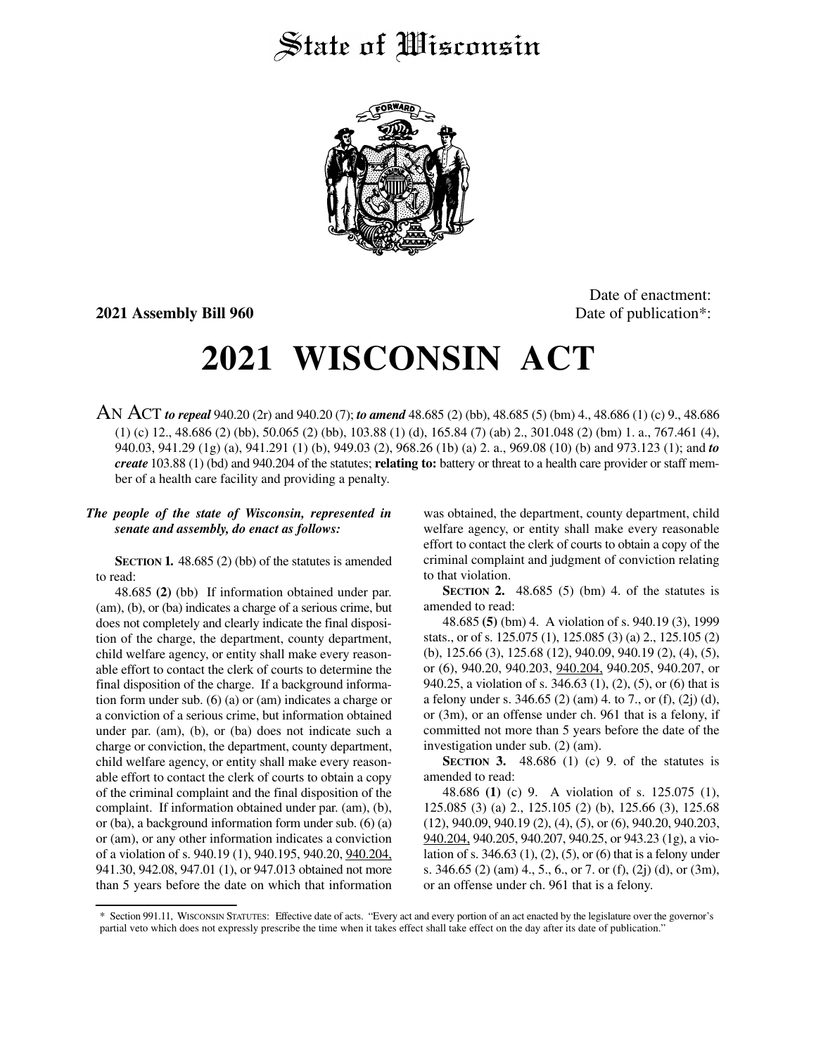## State of *Wisconsin*



**2021 Assembly Bill 960** Date of publication<sup>\*</sup>:

Date of enactment:

## **2021 WISCONSIN ACT**

AN ACT *to repeal* 940.20 (2r) and 940.20 (7); *to amend* 48.685 (2) (bb), 48.685 (5) (bm) 4., 48.686 (1) (c) 9., 48.686 (1) (c) 12., 48.686 (2) (bb), 50.065 (2) (bb), 103.88 (1) (d), 165.84 (7) (ab) 2., 301.048 (2) (bm) 1. a., 767.461 (4), 940.03, 941.29 (1g) (a), 941.291 (1) (b), 949.03 (2), 968.26 (1b) (a) 2. a., 969.08 (10) (b) and 973.123 (1); and *to create* 103.88 (1) (bd) and 940.204 of the statutes; **relating to:** battery or threat to a health care provider or staff member of a health care facility and providing a penalty.

## *The people of the state of Wisconsin, represented in senate and assembly, do enact as follows:*

**SECTION 1.** 48.685 (2) (bb) of the statutes is amended to read:

48.685 **(2)** (bb) If information obtained under par. (am), (b), or (ba) indicates a charge of a serious crime, but does not completely and clearly indicate the final disposition of the charge, the department, county department, child welfare agency, or entity shall make every reasonable effort to contact the clerk of courts to determine the final disposition of the charge. If a background information form under sub. (6) (a) or (am) indicates a charge or a conviction of a serious crime, but information obtained under par. (am), (b), or (ba) does not indicate such a charge or conviction, the department, county department, child welfare agency, or entity shall make every reasonable effort to contact the clerk of courts to obtain a copy of the criminal complaint and the final disposition of the complaint. If information obtained under par. (am), (b), or (ba), a background information form under sub. (6) (a) or (am), or any other information indicates a conviction of a violation of s. 940.19 (1), 940.195, 940.20, 940.204, 941.30, 942.08, 947.01 (1), or 947.013 obtained not more than 5 years before the date on which that information was obtained, the department, county department, child welfare agency, or entity shall make every reasonable effort to contact the clerk of courts to obtain a copy of the criminal complaint and judgment of conviction relating to that violation.

**SECTION 2.** 48.685 (5) (bm) 4. of the statutes is amended to read:

48.685 **(5)** (bm) 4. A violation of s. 940.19 (3), 1999 stats., or of s. 125.075 (1), 125.085 (3) (a) 2., 125.105 (2) (b), 125.66 (3), 125.68 (12), 940.09, 940.19 (2), (4), (5), or (6), 940.20, 940.203, 940.204, 940.205, 940.207, or 940.25, a violation of s. 346.63 (1), (2), (5), or (6) that is a felony under s. 346.65 (2) (am) 4. to 7., or (f), (2j) (d), or (3m), or an offense under ch. 961 that is a felony, if committed not more than 5 years before the date of the investigation under sub. (2) (am).

**SECTION 3.** 48.686 (1) (c) 9. of the statutes is amended to read:

48.686 **(1)** (c) 9. A violation of s. 125.075 (1), 125.085 (3) (a) 2., 125.105 (2) (b), 125.66 (3), 125.68 (12), 940.09, 940.19 (2), (4), (5), or (6), 940.20, 940.203, 940.204, 940.205, 940.207, 940.25, or 943.23 (1g), a violation of s. 346.63 (1), (2), (5), or (6) that is a felony under s. 346.65 (2) (am) 4., 5., 6., or 7. or (f), (2j) (d), or (3m), or an offense under ch. 961 that is a felony.

<sup>\*</sup> Section 991.11, WISCONSIN STATUTES: Effective date of acts. "Every act and every portion of an act enacted by the legislature over the governor's partial veto which does not expressly prescribe the time when it takes effect shall take effect on the day after its date of publication."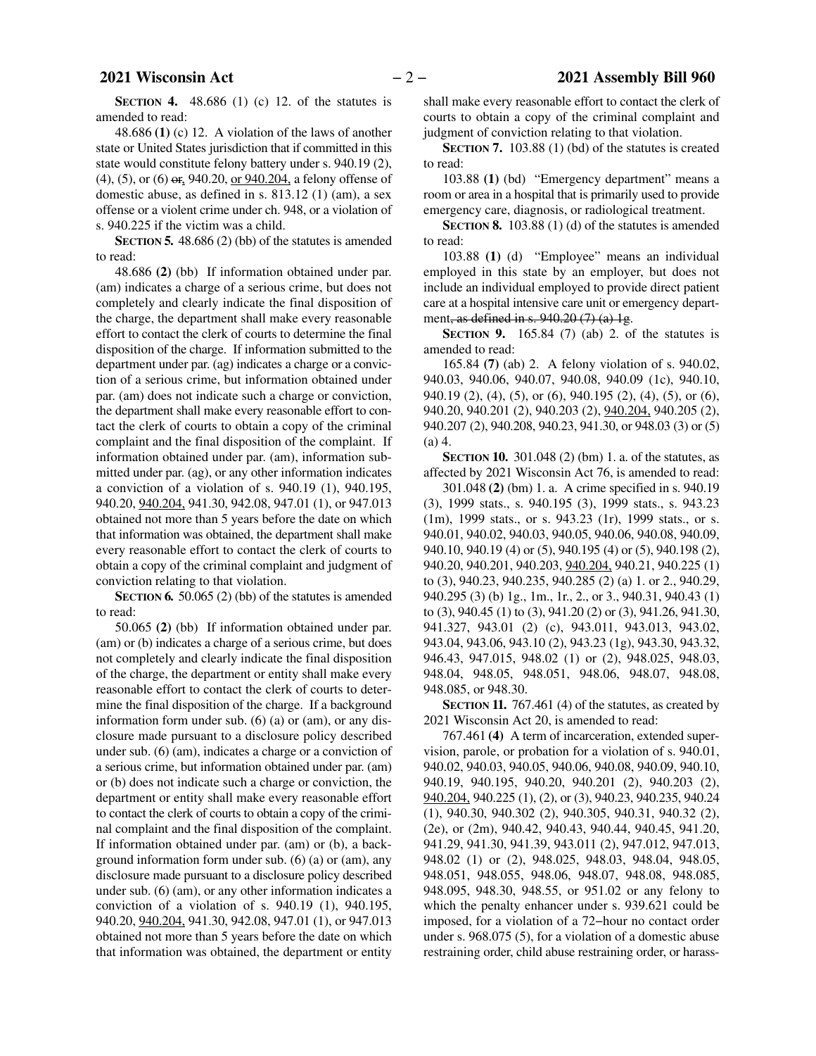**SECTION 4.** 48.686 (1) (c) 12. of the statutes is amended to read:

48.686 **(1)** (c) 12. A violation of the laws of another state or United States jurisdiction that if committed in this state would constitute felony battery under s. 940.19 (2), (4), (5), or (6) or, 940.20, or 940.204, a felony offense of domestic abuse, as defined in s. 813.12 (1) (am), a sex offense or a violent crime under ch. 948, or a violation of s. 940.225 if the victim was a child.

**SECTION 5.** 48.686 (2) (bb) of the statutes is amended to read:

48.686 **(2)** (bb) If information obtained under par. (am) indicates a charge of a serious crime, but does not completely and clearly indicate the final disposition of the charge, the department shall make every reasonable effort to contact the clerk of courts to determine the final disposition of the charge. If information submitted to the department under par. (ag) indicates a charge or a conviction of a serious crime, but information obtained under par. (am) does not indicate such a charge or conviction, the department shall make every reasonable effort to contact the clerk of courts to obtain a copy of the criminal complaint and the final disposition of the complaint. If information obtained under par. (am), information submitted under par. (ag), or any other information indicates a conviction of a violation of s. 940.19 (1), 940.195, 940.20, 940.204, 941.30, 942.08, 947.01 (1), or 947.013 obtained not more than 5 years before the date on which that information was obtained, the department shall make every reasonable effort to contact the clerk of courts to obtain a copy of the criminal complaint and judgment of conviction relating to that violation.

**SECTION 6.** 50.065 (2) (bb) of the statutes is amended to read:

50.065 **(2)** (bb) If information obtained under par. (am) or (b) indicates a charge of a serious crime, but does not completely and clearly indicate the final disposition of the charge, the department or entity shall make every reasonable effort to contact the clerk of courts to determine the final disposition of the charge. If a background information form under sub. (6) (a) or (am), or any disclosure made pursuant to a disclosure policy described under sub. (6) (am), indicates a charge or a conviction of a serious crime, but information obtained under par. (am) or (b) does not indicate such a charge or conviction, the department or entity shall make every reasonable effort to contact the clerk of courts to obtain a copy of the criminal complaint and the final disposition of the complaint. If information obtained under par. (am) or (b), a background information form under sub. (6) (a) or (am), any disclosure made pursuant to a disclosure policy described under sub. (6) (am), or any other information indicates a conviction of a violation of s. 940.19 (1), 940.195, 940.20, 940.204, 941.30, 942.08, 947.01 (1), or 947.013 obtained not more than 5 years before the date on which that information was obtained, the department or entity

shall make every reasonable effort to contact the clerk of courts to obtain a copy of the criminal complaint and judgment of conviction relating to that violation.

**SECTION 7.** 103.88 (1) (bd) of the statutes is created to read:

103.88 **(1)** (bd) "Emergency department" means a room or area in a hospital that is primarily used to provide emergency care, diagnosis, or radiological treatment.

**SECTION 8.** 103.88 (1) (d) of the statutes is amended to read:

103.88 **(1)** (d) "Employee" means an individual employed in this state by an employer, but does not include an individual employed to provide direct patient care at a hospital intensive care unit or emergency department, as defined in s. 940.20 (7) (a) 1g.

**SECTION 9.** 165.84 (7) (ab) 2. of the statutes is amended to read:

165.84 **(7)** (ab) 2. A felony violation of s. 940.02, 940.03, 940.06, 940.07, 940.08, 940.09 (1c), 940.10, 940.19 (2), (4), (5), or (6), 940.195 (2), (4), (5), or (6), 940.20, 940.201 (2), 940.203 (2), 940.204, 940.205 (2), 940.207 (2), 940.208, 940.23, 941.30, or 948.03 (3) or (5) (a) 4.

**SECTION 10.** 301.048 (2) (bm) 1. a. of the statutes, as affected by 2021 Wisconsin Act 76, is amended to read:

301.048 **(2)** (bm) 1. a. A crime specified in s. 940.19 (3), 1999 stats., s. 940.195 (3), 1999 stats., s. 943.23 (1m), 1999 stats., or s. 943.23 (1r), 1999 stats., or s. 940.01, 940.02, 940.03, 940.05, 940.06, 940.08, 940.09, 940.10, 940.19 (4) or (5), 940.195 (4) or (5), 940.198 (2), 940.20, 940.201, 940.203, 940.204, 940.21, 940.225 (1) to (3), 940.23, 940.235, 940.285 (2) (a) 1. or 2., 940.29, 940.295 (3) (b) 1g., 1m., 1r., 2., or 3., 940.31, 940.43 (1) to (3), 940.45 (1) to (3), 941.20 (2) or (3), 941.26, 941.30, 941.327, 943.01 (2) (c), 943.011, 943.013, 943.02, 943.04, 943.06, 943.10 (2), 943.23 (1g), 943.30, 943.32, 946.43, 947.015, 948.02 (1) or (2), 948.025, 948.03, 948.04, 948.05, 948.051, 948.06, 948.07, 948.08, 948.085, or 948.30.

**SECTION 11.** 767.461 (4) of the statutes, as created by 2021 Wisconsin Act 20, is amended to read:

767.461 **(4)** A term of incarceration, extended supervision, parole, or probation for a violation of s. 940.01, 940.02, 940.03, 940.05, 940.06, 940.08, 940.09, 940.10, 940.19, 940.195, 940.20, 940.201 (2), 940.203 (2), 940.204, 940.225 (1), (2), or (3), 940.23, 940.235, 940.24 (1), 940.30, 940.302 (2), 940.305, 940.31, 940.32 (2), (2e), or (2m), 940.42, 940.43, 940.44, 940.45, 941.20, 941.29, 941.30, 941.39, 943.011 (2), 947.012, 947.013, 948.02 (1) or (2), 948.025, 948.03, 948.04, 948.05, 948.051, 948.055, 948.06, 948.07, 948.08, 948.085, 948.095, 948.30, 948.55, or 951.02 or any felony to which the penalty enhancer under s. 939.621 could be imposed, for a violation of a 72−hour no contact order under s. 968.075 (5), for a violation of a domestic abuse restraining order, child abuse restraining order, or harass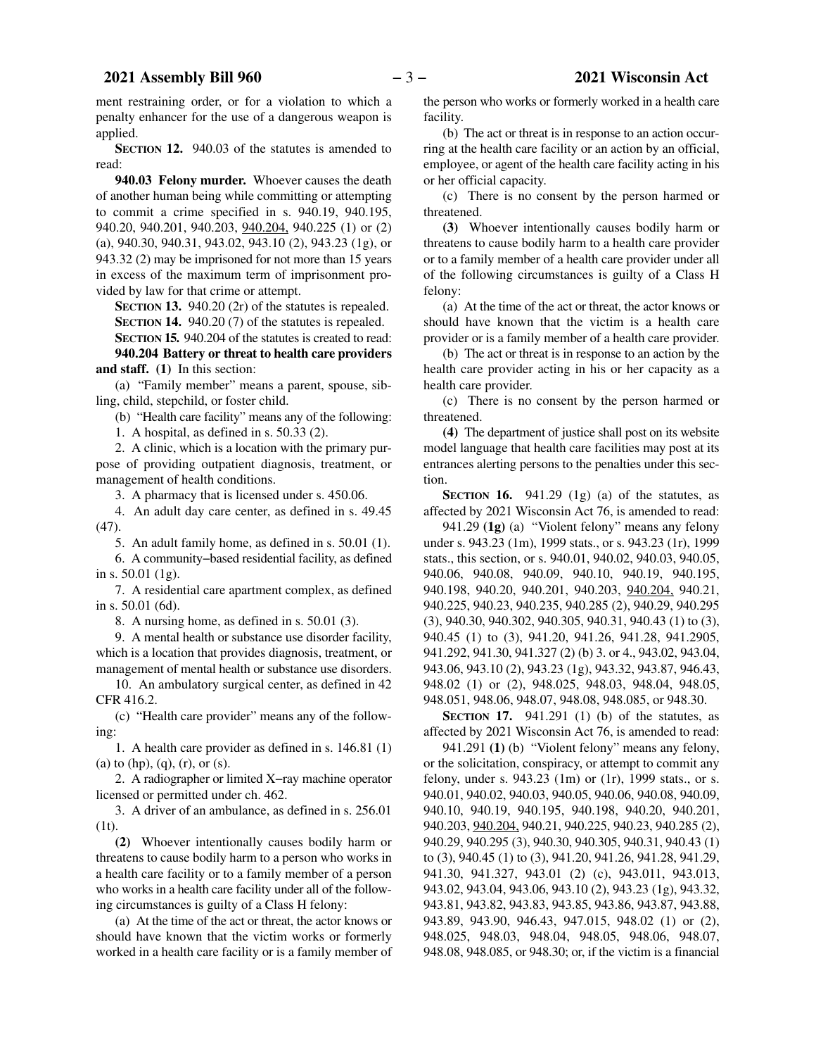ment restraining order, or for a violation to which a penalty enhancer for the use of a dangerous weapon is applied.

**SECTION 12.** 940.03 of the statutes is amended to read:

**940.03 Felony murder.** Whoever causes the death of another human being while committing or attempting to commit a crime specified in s. 940.19, 940.195, 940.20, 940.201, 940.203, 940.204, 940.225 (1) or (2) (a), 940.30, 940.31, 943.02, 943.10 (2), 943.23 (1g), or 943.32 (2) may be imprisoned for not more than 15 years in excess of the maximum term of imprisonment provided by law for that crime or attempt.

**SECTION 13.** 940.20 (2r) of the statutes is repealed.

**SECTION 14.** 940.20 (7) of the statutes is repealed. **SECTION 15.** 940.204 of the statutes is created to read:

**940.204 Battery or threat to health care providers and staff. (1)** In this section:

(a) "Family member" means a parent, spouse, sibling, child, stepchild, or foster child.

(b) "Health care facility" means any of the following:

1. A hospital, as defined in s. 50.33 (2).

2. A clinic, which is a location with the primary purpose of providing outpatient diagnosis, treatment, or management of health conditions.

3. A pharmacy that is licensed under s. 450.06.

4. An adult day care center, as defined in s. 49.45 (47).

5. An adult family home, as defined in s. 50.01 (1).

6. A community−based residential facility, as defined in s. 50.01 (1g).

7. A residential care apartment complex, as defined in s. 50.01 (6d).

8. A nursing home, as defined in s. 50.01 (3).

9. A mental health or substance use disorder facility, which is a location that provides diagnosis, treatment, or management of mental health or substance use disorders.

10. An ambulatory surgical center, as defined in 42 CFR 416.2.

(c) "Health care provider" means any of the following:

1. A health care provider as defined in s. 146.81 (1) (a) to  $(hp)$ ,  $(q)$ ,  $(r)$ , or  $(s)$ .

2. A radiographer or limited X−ray machine operator licensed or permitted under ch. 462.

3. A driver of an ambulance, as defined in s. 256.01 (1t).

**(2)** Whoever intentionally causes bodily harm or threatens to cause bodily harm to a person who works in a health care facility or to a family member of a person who works in a health care facility under all of the following circumstances is guilty of a Class H felony:

(a) At the time of the act or threat, the actor knows or should have known that the victim works or formerly worked in a health care facility or is a family member of the person who works or formerly worked in a health care facility.

(b) The act or threat is in response to an action occurring at the health care facility or an action by an official, employee, or agent of the health care facility acting in his or her official capacity.

(c) There is no consent by the person harmed or threatened.

**(3)** Whoever intentionally causes bodily harm or threatens to cause bodily harm to a health care provider or to a family member of a health care provider under all of the following circumstances is guilty of a Class H felony:

(a) At the time of the act or threat, the actor knows or should have known that the victim is a health care provider or is a family member of a health care provider.

(b) The act or threat is in response to an action by the health care provider acting in his or her capacity as a health care provider.

(c) There is no consent by the person harmed or threatened.

**(4)** The department of justice shall post on its website model language that health care facilities may post at its entrances alerting persons to the penalties under this section.

**SECTION 16.** 941.29 (1g) (a) of the statutes, as affected by 2021 Wisconsin Act 76, is amended to read:

941.29 **(1g)** (a) "Violent felony" means any felony under s. 943.23 (1m), 1999 stats., or s. 943.23 (1r), 1999 stats., this section, or s. 940.01, 940.02, 940.03, 940.05, 940.06, 940.08, 940.09, 940.10, 940.19, 940.195, 940.198, 940.20, 940.201, 940.203, 940.204, 940.21, 940.225, 940.23, 940.235, 940.285 (2), 940.29, 940.295 (3), 940.30, 940.302, 940.305, 940.31, 940.43 (1) to (3), 940.45 (1) to (3), 941.20, 941.26, 941.28, 941.2905, 941.292, 941.30, 941.327 (2) (b) 3. or 4., 943.02, 943.04, 943.06, 943.10 (2), 943.23 (1g), 943.32, 943.87, 946.43, 948.02 (1) or (2), 948.025, 948.03, 948.04, 948.05, 948.051, 948.06, 948.07, 948.08, 948.085, or 948.30.

**SECTION 17.** 941.291 (1) (b) of the statutes, as affected by 2021 Wisconsin Act 76, is amended to read:

941.291 **(1)** (b) "Violent felony" means any felony, or the solicitation, conspiracy, or attempt to commit any felony, under s. 943.23 (1m) or (1r), 1999 stats., or s. 940.01, 940.02, 940.03, 940.05, 940.06, 940.08, 940.09, 940.10, 940.19, 940.195, 940.198, 940.20, 940.201, 940.203, 940.204, 940.21, 940.225, 940.23, 940.285 (2), 940.29, 940.295 (3), 940.30, 940.305, 940.31, 940.43 (1) to (3), 940.45 (1) to (3), 941.20, 941.26, 941.28, 941.29, 941.30, 941.327, 943.01 (2) (c), 943.011, 943.013, 943.02, 943.04, 943.06, 943.10 (2), 943.23 (1g), 943.32, 943.81, 943.82, 943.83, 943.85, 943.86, 943.87, 943.88, 943.89, 943.90, 946.43, 947.015, 948.02 (1) or (2), 948.025, 948.03, 948.04, 948.05, 948.06, 948.07, 948.08, 948.085, or 948.30; or, if the victim is a financial